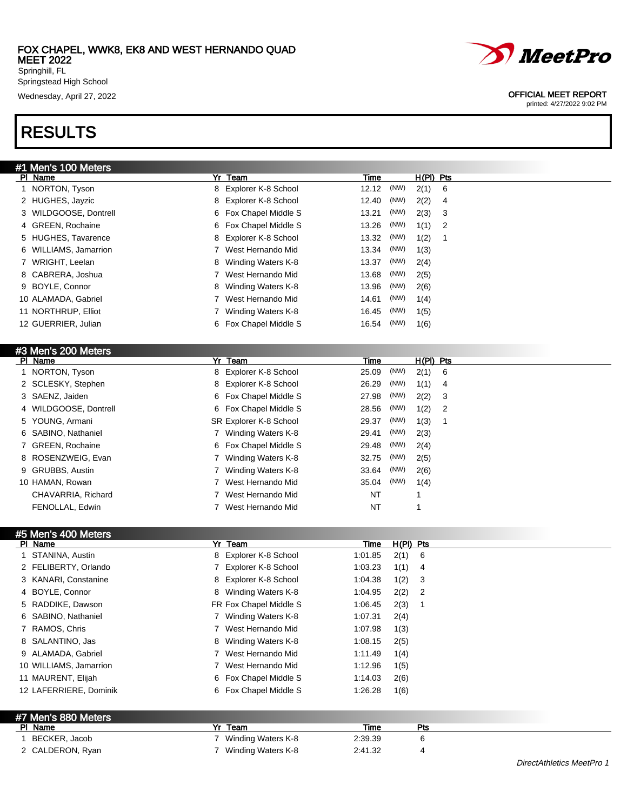Springstead High School

## RESULTS



### Wednesday, April 27, 2022 OFFICIAL MEET REPORT

printed: 4/27/2022 9:02 PM

| #1 Men's 100 Meters   |   |                       |       |      |             |                            |
|-----------------------|---|-----------------------|-------|------|-------------|----------------------------|
| PI Name               |   | Yr Team               | Time  |      | $H(PI)$ Pts |                            |
| 1 NORTON, Tyson       |   | 8 Explorer K-8 School | 12.12 | (NW) | 2(1)        | - 6                        |
| 2 HUGHES, Jayzic      |   | 8 Explorer K-8 School | 12.40 | (NW) | 2(2)        | $\overline{4}$             |
| 3 WILDGOOSE, Dontrell |   | 6 Fox Chapel Middle S | 13.21 | (NW) | 2(3)        | - 3                        |
| 4 GREEN, Rochaine     |   | 6 Fox Chapel Middle S | 13.26 | (NW) | 1(1)        | $\overline{\phantom{0}}^2$ |
| 5 HUGHES, Tavarence   |   | 8 Explorer K-8 School | 13.32 | (NW) | 1(2)        |                            |
| 6 WILLIAMS, Jamarrion |   | West Hernando Mid     | 13.34 | (NW) | 1(3)        |                            |
| 7 WRIGHT, Leelan      |   | 8 Winding Waters K-8  | 13.37 | (NW) | 2(4)        |                            |
| 8 CABRERA, Joshua     |   | West Hernando Mid     | 13.68 | (NW) | 2(5)        |                            |
| 9 BOYLE, Connor       |   | 8 Winding Waters K-8  | 13.96 | (NW) | 2(6)        |                            |
| 10 ALAMADA, Gabriel   |   | West Hernando Mid     | 14.61 | (NW) | 1(4)        |                            |
| 11 NORTHRUP, Elliot   |   | Winding Waters K-8    | 16.45 | (NW) | 1(5)        |                            |
| 12 GUERRIER, Julian   | 6 | Fox Chapel Middle S   | 16.54 | (NW) | 1(6)        |                            |
|                       |   |                       |       |      |             |                            |

| #3 Men's 200 Meters   |                        |       |      |             |                            |
|-----------------------|------------------------|-------|------|-------------|----------------------------|
| PI Name               | Yr Team                | Time  |      | $H(PI)$ Pts |                            |
| 1 NORTON, Tyson       | 8 Explorer K-8 School  | 25.09 | (NW) | $2(1)$ 6    |                            |
| 2 SCLESKY, Stephen    | 8 Explorer K-8 School  | 26.29 | (NW) | $1(1)$ 4    |                            |
| 3 SAENZ, Jaiden       | 6 Fox Chapel Middle S  | 27.98 | (NW) | 2(2)        | - 3                        |
| 4 WILDGOOSE, Dontrell | 6 Fox Chapel Middle S  | 28.56 | (NW) | 1(2)        | $\overline{\phantom{0}}^2$ |
| 5 YOUNG, Armani       | SR Explorer K-8 School | 29.37 | (NW) | 1(3)        |                            |
| 6 SABINO, Nathaniel   | Winding Waters K-8     | 29.41 | (NW) | 2(3)        |                            |
| 7 GREEN, Rochaine     | 6 Fox Chapel Middle S  | 29.48 | (NW) | 2(4)        |                            |
| 8 ROSENZWEIG, Evan    | Winding Waters K-8     | 32.75 | (NW) | 2(5)        |                            |
| 9 GRUBBS, Austin      | Winding Waters K-8     | 33.64 | (NW) | 2(6)        |                            |
| 10 HAMAN, Rowan       | West Hernando Mid      | 35.04 | (NW) | 1(4)        |                            |
| CHAVARRIA, Richard    | West Hernando Mid      | NT    |      |             |                            |
| FENOLLAL, Edwin       | West Hernando Mid      | NT    |      |             |                            |

#### Men's 400 Mete

| טוסואן טע <del>ד</del> טוויטוניט א<br>PI Name | Yr Team                   | H(PI) Pts<br>Time      |  |
|-----------------------------------------------|---------------------------|------------------------|--|
| 1 STANINA, Austin                             | Explorer K-8 School<br>8. | 1:01.85<br>2(1) 6      |  |
| 2 FELIBERTY, Orlando                          | Explorer K-8 School       | 1(1)<br>1:03.23<br>- 4 |  |
| 3 KANARI, Constanine                          | Explorer K-8 School<br>8  | 1(2)<br>1:04.38<br>- 3 |  |
| 4 BOYLE, Connor                               | Winding Waters K-8<br>8   | $2(2)$ 2<br>1:04.95    |  |
| 5 RADDIKE, Dawson                             | FR Fox Chapel Middle S    | 2(3)<br>1:06.45<br>- 1 |  |
| 6 SABINO, Nathaniel                           | Winding Waters K-8        | 1:07.31<br>2(4)        |  |
| 7 RAMOS, Chris                                | West Hernando Mid         | 1:07.98<br>1(3)        |  |
| 8 SALANTINO, Jas                              | 8 Winding Waters K-8      | 1:08.15<br>2(5)        |  |
| 9 ALAMADA, Gabriel                            | West Hernando Mid         | 1:11.49<br>1(4)        |  |
| 10 WILLIAMS, Jamarrion                        | West Hernando Mid         | 1:12.96<br>1(5)        |  |
| 11 MAURENT, Elijah                            | 6 Fox Chapel Middle S     | 1:14.03<br>2(6)        |  |
| 12 LAFERRIERE, Dominik                        | 6 Fox Chapel Middle S     | 1:26.28<br>1(6)        |  |
|                                               |                           |                        |  |
| 47 Media 000 Media                            |                           |                        |  |

| $H$ IVICITS OOV IVICLETS |                    |         |     |                           |
|--------------------------|--------------------|---------|-----|---------------------------|
| PI Name                  | Yr Team            | Time    | Pts |                           |
| BECKER, Jacob            | Winding Waters K-8 | 2:39.39 |     |                           |
| 2 CALDERON, Ryan         | Winding Waters K-8 | 2:41.32 |     |                           |
|                          |                    |         |     | DirectAthletics MeetPro 1 |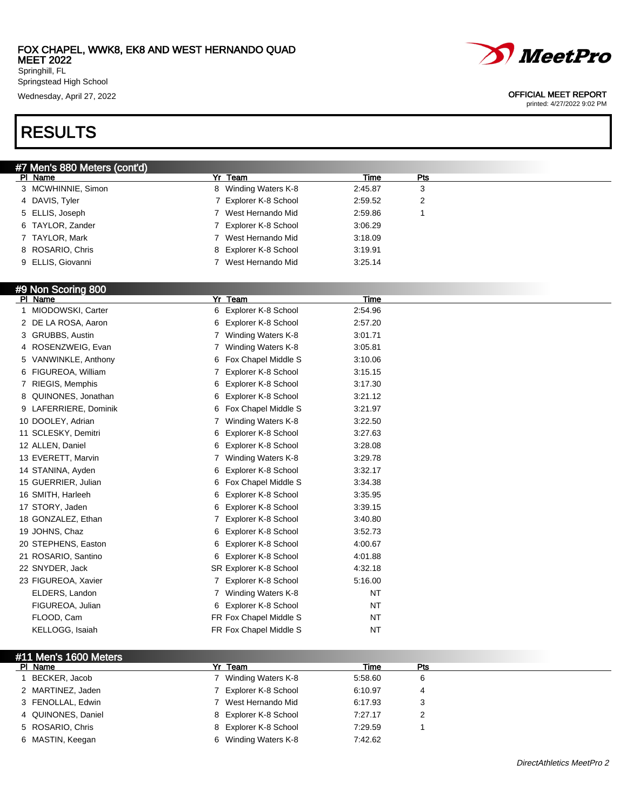

printed: 4/27/2022 9:02 PM

Wednesday, April 27, 2022 2002

Springstead High School

# RESULTS

| #7 Men's 880 Meters (cont'd) |                       |         |     |  |
|------------------------------|-----------------------|---------|-----|--|
| PI Name                      | Yr Team               | Time    | Pts |  |
| 3 MCWHINNIE, Simon           | 8 Winding Waters K-8  | 2:45.87 | 3   |  |
| 4 DAVIS, Tyler               | 7 Explorer K-8 School | 2:59.52 | 2   |  |
| 5 ELLIS, Joseph              | West Hernando Mid     | 2:59.86 |     |  |
| 6 TAYLOR, Zander             | Explorer K-8 School   | 3:06.29 |     |  |
| 7 TAYLOR, Mark               | West Hernando Mid     | 3:18.09 |     |  |
| 8 ROSARIO, Chris             | 8 Explorer K-8 School | 3:19.91 |     |  |
| 9 ELLIS, Giovanni            | West Hernando Mid     | 3:25.14 |     |  |
|                              |                       |         |     |  |
| <b>#9 Non Scoring 800</b>    |                       |         |     |  |

### #9 Non Scoring 800

| PI Name               | Yr Team                   | Time      |  |
|-----------------------|---------------------------|-----------|--|
| MIODOWSKI, Carter     | 6 Explorer K-8 School     | 2:54.96   |  |
| 2 DE LA ROSA, Aaron   | Explorer K-8 School<br>6  | 2:57.20   |  |
| 3 GRUBBS, Austin      | Winding Waters K-8<br>7   | 3:01.71   |  |
| 4 ROSENZWEIG, Evan    | Winding Waters K-8        | 3:05.81   |  |
| 5 VANWINKLE, Anthony  | Fox Chapel Middle S<br>6  | 3:10.06   |  |
| 6 FIGUREOA, William   | Explorer K-8 School<br>7  | 3:15.15   |  |
| 7 RIEGIS, Memphis     | 6 Explorer K-8 School     | 3:17.30   |  |
| 8 QUINONES, Jonathan  | Explorer K-8 School<br>6  | 3:21.12   |  |
| 9 LAFERRIERE, Dominik | Fox Chapel Middle S<br>6  | 3:21.97   |  |
| 10 DOOLEY, Adrian     | Winding Waters K-8        | 3:22.50   |  |
| 11 SCLESKY, Demitri   | Explorer K-8 School<br>6  | 3:27.63   |  |
| 12 ALLEN, Daniel      | Explorer K-8 School<br>6. | 3:28.08   |  |
| 13 EVERETT, Marvin    | Winding Waters K-8<br>7   | 3:29.78   |  |
| 14 STANINA, Ayden     | Explorer K-8 School<br>6  | 3:32.17   |  |
| 15 GUERRIER, Julian   | Fox Chapel Middle S<br>6  | 3:34.38   |  |
| 16 SMITH, Harleeh     | Explorer K-8 School<br>6  | 3:35.95   |  |
| 17 STORY, Jaden       | Explorer K-8 School<br>6  | 3:39.15   |  |
| 18 GONZALEZ, Ethan    | Explorer K-8 School<br>7  | 3:40.80   |  |
| 19 JOHNS, Chaz        | Explorer K-8 School<br>6. | 3:52.73   |  |
| 20 STEPHENS, Easton   | Explorer K-8 School<br>6  | 4:00.67   |  |
| 21 ROSARIO, Santino   | 6 Explorer K-8 School     | 4:01.88   |  |
| 22 SNYDER, Jack       | SR Explorer K-8 School    | 4:32.18   |  |
| 23 FIGUREOA, Xavier   | 7 Explorer K-8 School     | 5:16.00   |  |
| ELDERS, Landon        | Winding Waters K-8        | NT        |  |
| FIGUREOA, Julian      | Explorer K-8 School<br>6  | <b>NT</b> |  |
| FLOOD, Cam            | FR Fox Chapel Middle S    | NT        |  |
| KELLOGG, Isaiah       | FR Fox Chapel Middle S    | <b>NT</b> |  |

### #11 Men's 1600 Meters<br>PL Name **Plame Time Pts**<br>
Plame Time Pts<br>
Plant The Pts 7 Minding Waters K.8 6 5:58.60 6 6 6 6 6 7 Minding Waters K.8 6 5:58.60 6 6 7 Minding Waters K.8

| BECKER, Jacob      | Winding Waters K-8    | 5:58.60 |  |
|--------------------|-----------------------|---------|--|
| 2 MARTINEZ, Jaden  | Explorer K-8 School   | 6:10.97 |  |
| 3 FENOLLAL, Edwin  | 7 West Hernando Mid   | 6:17.93 |  |
| 4 QUINONES, Daniel | 8 Explorer K-8 School | 7:27.17 |  |
| 5 ROSARIO, Chris   | 8 Explorer K-8 School | 7:29.59 |  |
| 6 MASTIN, Keegan   | 6 Winding Waters K-8  | 7:42.62 |  |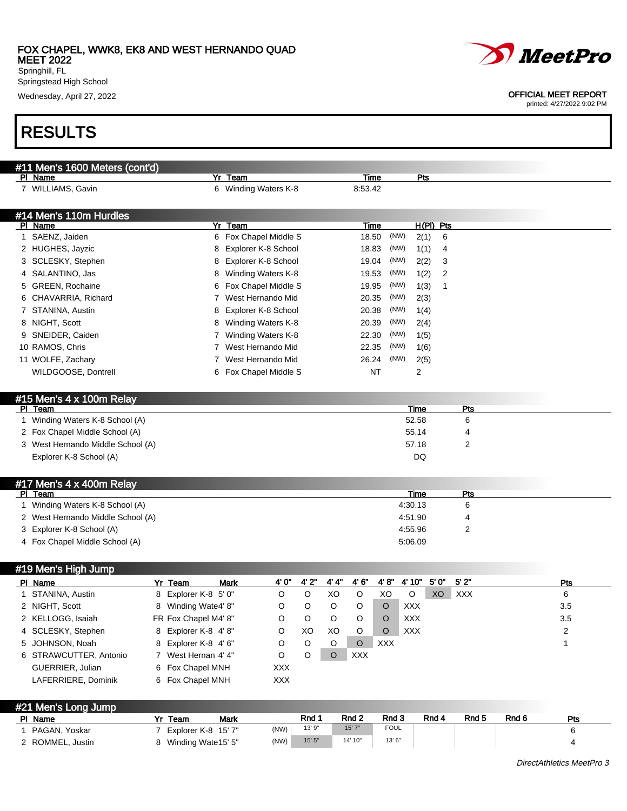

Wednesday, April 27, 2022 OFFICIAL MEET REPORT

# RESULTS

| #11 Men's 1600 Meters (cont'd)<br>PI Name |                         | Yr Team               |                     |             |         | Time       |             | Pts           |             |                  |       |                |
|-------------------------------------------|-------------------------|-----------------------|---------------------|-------------|---------|------------|-------------|---------------|-------------|------------------|-------|----------------|
| 7 WILLIAMS, Gavin                         |                         | 6 Winding Waters K-8  |                     |             |         | 8:53.42    |             |               |             |                  |       |                |
| #14 Men's 110m Hurdles                    |                         |                       |                     |             |         |            |             |               |             |                  |       |                |
| PI Name                                   |                         | Yr<br>Team            |                     |             |         | Time       |             |               | $H(PI)$ Pts |                  |       |                |
| 1 SAENZ, Jaiden                           |                         | 6 Fox Chapel Middle S |                     |             |         | 18.50      |             | (NW)          | 2(1)<br>6   |                  |       |                |
| 2 HUGHES, Jayzic                          |                         | 8                     | Explorer K-8 School |             |         | 18.83      |             | (NW)          | 1(1)<br>4   |                  |       |                |
| 3 SCLESKY, Stephen                        |                         | 8                     | Explorer K-8 School |             |         | 19.04      |             | (NW)          | 2(2)<br>3   |                  |       |                |
| 4 SALANTINO, Jas                          |                         | 8                     | Winding Waters K-8  |             |         | 19.53      |             | (NW)          | 1(2)<br>2   |                  |       |                |
| 5 GREEN, Rochaine                         |                         | 6                     | Fox Chapel Middle S |             |         | 19.95      |             | (NW)          | 1(3)<br>1   |                  |       |                |
| 6 CHAVARRIA, Richard                      |                         | 7                     | West Hernando Mid   |             |         | 20.35      |             | (NW)          | 2(3)        |                  |       |                |
| 7 STANINA, Austin                         |                         | 8                     | Explorer K-8 School |             |         | 20.38      |             | (NW)          | 1(4)        |                  |       |                |
| 8 NIGHT, Scott                            |                         | 8                     | Winding Waters K-8  |             |         | 20.39      |             | (NW)          | 2(4)        |                  |       |                |
| 9 SNEIDER, Caiden                         |                         | 7                     | Winding Waters K-8  |             |         | 22.30      |             | (NW)          | 1(5)        |                  |       |                |
| 10 RAMOS, Chris                           |                         | 7 West Hernando Mid   |                     |             |         | 22.35      |             | (NW)          | 1(6)        |                  |       |                |
| 11 WOLFE, Zachary                         |                         | 7                     | West Hernando Mid   |             |         | 26.24      |             | (NW)          | 2(5)        |                  |       |                |
| WILDGOOSE, Dontrell                       |                         | 6 Fox Chapel Middle S |                     |             |         |            | <b>NT</b>   | 2             |             |                  |       |                |
|                                           |                         |                       |                     |             |         |            |             |               |             |                  |       |                |
|                                           |                         |                       |                     |             |         |            |             |               |             |                  |       |                |
| #15 Men's 4 x 100m Relay<br>PI Team       |                         |                       |                     |             |         |            |             |               |             |                  |       |                |
| Winding Waters K-8 School (A)<br>1        |                         |                       |                     |             |         |            |             | Time<br>52.58 |             | Pts<br>6         |       |                |
|                                           |                         |                       |                     |             |         |            |             |               |             |                  |       |                |
| 2 Fox Chapel Middle School (A)            |                         |                       |                     |             |         |            |             | 55.14         |             | 4                |       |                |
| 3 West Hernando Middle School (A)         |                         |                       |                     |             |         |            |             | 57.18         |             | 2                |       |                |
| Explorer K-8 School (A)                   |                         |                       |                     |             |         |            |             | DQ            |             |                  |       |                |
|                                           |                         |                       |                     |             |         |            |             |               |             |                  |       |                |
| #17 Men's 4 x 400m Relay                  |                         |                       |                     |             |         |            |             |               |             |                  |       |                |
| PI Team                                   |                         |                       |                     |             |         |            |             | Time          |             | <b>Pts</b>       |       |                |
| Winding Waters K-8 School (A)<br>1        |                         |                       |                     |             |         |            |             | 4:30.13       |             | 6                |       |                |
| 2 West Hernando Middle School (A)         |                         |                       |                     |             |         |            |             | 4:51.90       |             | 4                |       |                |
| 3 Explorer K-8 School (A)                 |                         |                       |                     |             |         |            |             | 4:55.96       |             | 2                |       |                |
| 4 Fox Chapel Middle School (A)            |                         |                       |                     |             |         |            |             | 5:06.09       |             |                  |       |                |
|                                           |                         |                       |                     |             |         |            |             |               |             |                  |       |                |
| #19 Men's High Jump                       |                         |                       |                     |             |         |            |             |               |             |                  |       |                |
| PI Name                                   | Yr Team                 | Mark                  | 4' 0"               | 4'2''       | 4' 4"   | 4'6''      | 4'8"        | 4' 10"        | 5'0'        | 5'2"             |       | Pts            |
| STANINA, Austin                           | Explorer K-8 5' 0"<br>8 |                       | O                   | O           | XO      | $\circ$    | XO          | O             | XO          | XXX              |       | 6              |
| 2 NIGHT, Scott                            | 8 Winding Wate4' 8"     |                       | O                   | O           | O       | O          | $\circ$     | <b>XXX</b>    |             |                  |       | 3.5            |
| 2 KELLOGG, Isaiah                         | FR Fox Chapel M4' 8"    |                       | O                   | O           | O       | O          | O           | XXX           |             |                  |       | 3.5            |
| 4 SCLESKY, Stephen                        | 8 Explorer K-8 4'8"     |                       | O                   | XO          | XO      | O          | $\circ$     | <b>XXX</b>    |             |                  |       | $\overline{2}$ |
| 5 JOHNSON, Noah                           | Explorer K-8 4' 6"<br>8 |                       | O                   | $\mathsf O$ | $\circ$ | $\circ$    | <b>XXX</b>  |               |             |                  |       | 1              |
| 6 STRAWCUTTER, Antonio                    | 7 West Hernan 4' 4"     |                       | O                   | O           | $\circ$ | <b>XXX</b> |             |               |             |                  |       |                |
| GUERRIER, Julian                          | Fox Chapel MNH<br>6     |                       | XXX                 |             |         |            |             |               |             |                  |       |                |
| LAFERRIERE, Dominik                       | 6 Fox Chapel MNH        |                       | <b>XXX</b>          |             |         |            |             |               |             |                  |       |                |
|                                           |                         |                       |                     |             |         |            |             |               |             |                  |       |                |
| #21 Men's Long Jump                       |                         |                       |                     |             |         |            |             |               |             |                  |       |                |
| PI Name                                   | Yr Team                 | <b>Mark</b>           |                     | Rnd 1       |         | Rnd 2      | Rnd 3       |               | Rnd 4       | Rnd <sub>5</sub> | Rnd 6 | <b>Pts</b>     |
| 1 PAGAN, Yoskar                           | 7 Explorer K-8 15' 7"   |                       | (NW)                | 13' 9"      |         | 15'7''     | <b>FOUL</b> |               |             |                  |       | 6              |
| 2 ROMMEL, Justin                          | 8 Winding Wate15' 5"    |                       | (NW)                | 15'5''      |         | 14' 10"    | 13' 6"      |               |             |                  |       | 4              |



printed: 4/27/2022 9:02 PM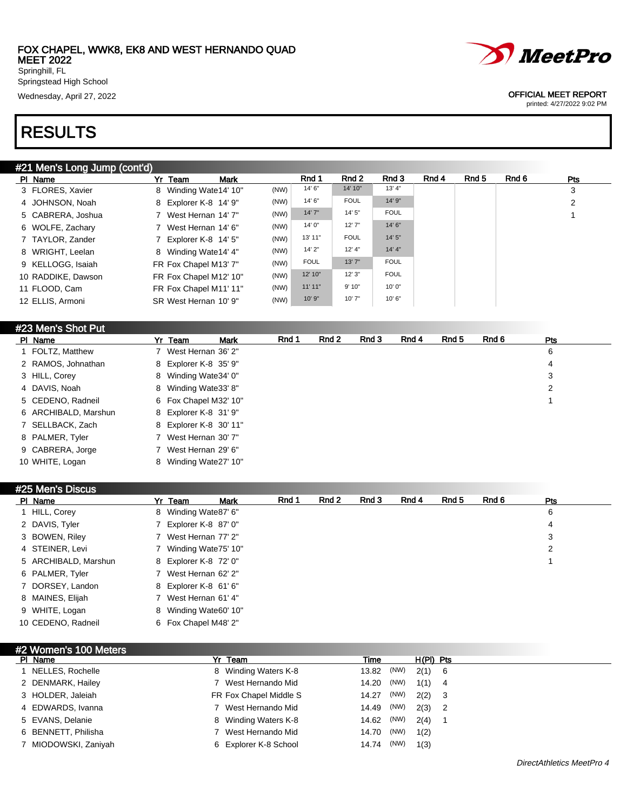

printed: 4/27/2022 9:02 PM

Springstead High School

Wednesday, April 27, 2022 OFFICIAL MEET REPORT

# RESULTS

### #21 Men's Long Jump (cont'd)

| PI Name            | <b>Mark</b><br>Yr Team |      | Rnd 1       | Rnd 2       | Rnd 3       | Rnd 4 | Rnd 5 | Rnd 6 | <b>Pts</b> |
|--------------------|------------------------|------|-------------|-------------|-------------|-------|-------|-------|------------|
| 3 FLORES, Xavier   | 8 Winding Wate 14' 10" | (NW) | 14' 6"      | 14' 10"     | 13' 4"      |       |       |       | 3          |
| 4 JOHNSON, Noah    | 8 Explorer K-8 14' 9"  | (NW) | 14' 6"      | <b>FOUL</b> | 14' 9"      |       |       |       | 2          |
| 5 CABRERA, Joshua  | 7 West Hernan 14' 7"   | (NW) | 14'7''      | 14'5''      | <b>FOUL</b> |       |       |       |            |
| 6 WOLFE, Zachary   | 7 West Hernan 14' 6"   | (NW) | 14'0''      | 12'7''      | 14'6''      |       |       |       |            |
| 7 TAYLOR, Zander   | 7 Explorer K-8 14' 5"  | (NW) | 13' 11"     | <b>FOUL</b> | 14'5''      |       |       |       |            |
| 8 WRIGHT, Leelan   | 8 Winding Wate 14' 4"  | (NW) | 14'2"       | 12' 4"      | 14' 4"      |       |       |       |            |
| 9 KELLOGG, Isaiah  | FR Fox Chapel M13' 7"  | (NW) | <b>FOUL</b> | 13' 7"      | <b>FOUL</b> |       |       |       |            |
| 10 RADDIKE, Dawson | FR Fox Chapel M12' 10" | (NW) | 12' 10"     | 12'3''      | <b>FOUL</b> |       |       |       |            |
| 11 FLOOD, Cam      | FR Fox Chapel M11' 11" | (NW) | 11'11"      | 9'10"       | 10'0''      |       |       |       |            |
| 12 ELLIS, Armoni   | SR West Hernan 10' 9"  | (NW) | 10'9''      | 10'7"       | 10'6"       |       |       |       |            |

#### #23 Men's Shot Put

| PI Name              | Yr Team                | Mark | Rnd 1 | Rnd 2 | Rnd 3 | Rnd 4 | Rnd 5 | Rnd 6 | <b>Pts</b> |
|----------------------|------------------------|------|-------|-------|-------|-------|-------|-------|------------|
| 1 FOLTZ, Matthew     | 7 West Hernan 36' 2"   |      |       |       |       |       |       |       | 6          |
| 2 RAMOS, Johnathan   | 8 Explorer K-8 35' 9"  |      |       |       |       |       |       |       | 4          |
| 3 HILL, Corey        | 8 Winding Wate 34' 0"  |      |       |       |       |       |       |       | 3          |
| 4 DAVIS, Noah        | 8 Winding Wate 33' 8"  |      |       |       |       |       |       |       | 2          |
| 5 CEDENO, Radneil    | 6 Fox Chapel M32' 10"  |      |       |       |       |       |       |       |            |
| 6 ARCHIBALD, Marshun | 8 Explorer K-8 31' 9"  |      |       |       |       |       |       |       |            |
| 7 SELLBACK, Zach     | 8 Explorer K-8 30' 11" |      |       |       |       |       |       |       |            |
| 8 PALMER, Tyler      | 7 West Hernan 30' 7"   |      |       |       |       |       |       |       |            |
| 9 CABRERA, Jorge     | 7 West Hernan 29' 6"   |      |       |       |       |       |       |       |            |
| 10 WHITE, Logan      | 8 Winding Wate 27' 10" |      |       |       |       |       |       |       |            |

#### #25 Men's Discus

| PI Name              | Yr Team                | <b>Mark</b> | Rnd 1 | Rnd 2 | Rnd 3 | Rnd 4 | Rnd 5 | Rnd 6 | <b>Pts</b> |
|----------------------|------------------------|-------------|-------|-------|-------|-------|-------|-------|------------|
| 1 HILL, Corey        | 8 Winding Wate87' 6"   |             |       |       |       |       |       |       | 6          |
| 2 DAVIS, Tyler       | 7 Explorer K-8 87' 0"  |             |       |       |       |       |       |       | 4          |
| 3 BOWEN, Riley       | 7 West Hernan 77' 2"   |             |       |       |       |       |       |       | 3          |
| 4 STEINER, Levi      | 7 Winding Wate 75' 10" |             |       |       |       |       |       |       | 2          |
| 5 ARCHIBALD, Marshun | 8 Explorer K-8 72' 0"  |             |       |       |       |       |       |       |            |
| 6 PALMER, Tyler      | 7 West Hernan 62' 2"   |             |       |       |       |       |       |       |            |
| 7 DORSEY, Landon     | 8 Explorer K-8 61' 6"  |             |       |       |       |       |       |       |            |
| 8 MAINES, Elijah     | 7 West Hernan 61' 4"   |             |       |       |       |       |       |       |            |
| 9 WHITE, Logan       | 8 Winding Wate60' 10"  |             |       |       |       |       |       |       |            |
| 10 CEDENO, Radneil   | 6 Fox Chapel M48' 2"   |             |       |       |       |       |       |       |            |

#### #2 Women's 100 Meter

| $\pi$ , wonen 3 too meters |                        |            |      |             |  |
|----------------------------|------------------------|------------|------|-------------|--|
| PI Name                    | Yr Team                | Time       |      | $H(PI)$ Pts |  |
| 1 NELLES, Rochelle         | 8 Winding Waters K-8   | 13.82 (NW) |      | $2(1)$ 6    |  |
| 2 DENMARK, Hailey          | 7 West Hernando Mid    | 14.20      | (NW) | $1(1)$ 4    |  |
| 3 HOLDER, Jaleiah          | FR Fox Chapel Middle S | 14.27      | (NW) | $2(2)$ 3    |  |
| 4 EDWARDS, Ivanna          | 7 West Hernando Mid    | 14.49      | (NW) | $2(3)$ 2    |  |
| 5 EVANS, Delanie           | 8 Winding Waters K-8   | 14.62 (NW) |      | $2(4)$ 1    |  |
| 6 BENNETT, Philisha        | West Hernando Mid      | 14.70 (NW) |      | 1(2)        |  |
| 7 MIODOWSKI, Zaniyah       | 6 Explorer K-8 School  | 14.74      | (NW) | 1(3)        |  |
|                            |                        |            |      |             |  |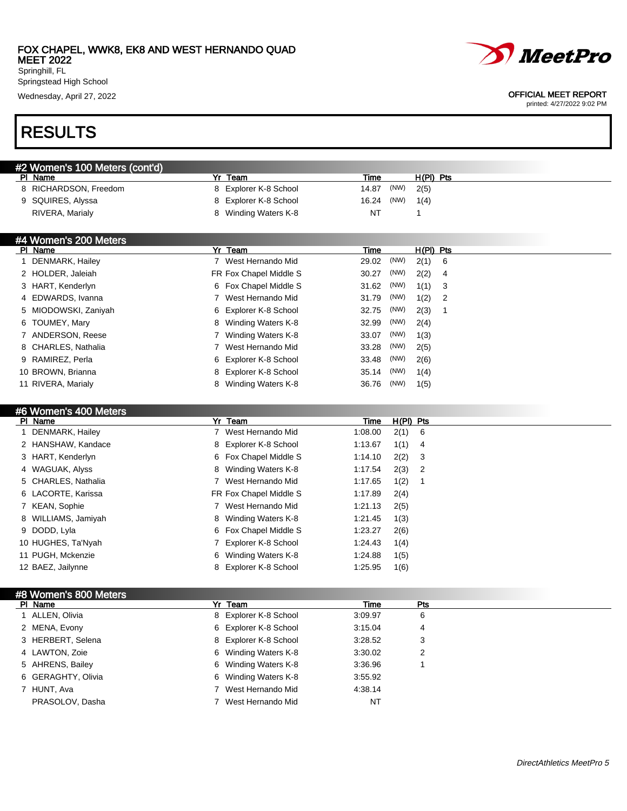

printed: 4/27/2022 9:02 PM

Springstead High School

Wednesday, April 27, 2022 OFFICIAL MEET REPORT

# RESULTS

| #2 Women's 100 Meters (cont'd) |                       |                       |                   |             |  |  |  |  |  |  |  |  |
|--------------------------------|-----------------------|-----------------------|-------------------|-------------|--|--|--|--|--|--|--|--|
|                                | PI Name               | Team                  | Time              | $H(PI)$ Pts |  |  |  |  |  |  |  |  |
|                                | 8 RICHARDSON, Freedom | 8 Explorer K-8 School | 14.87 (NW)        | 2(5)        |  |  |  |  |  |  |  |  |
|                                | 9 SQUIRES, Alyssa     | 8 Explorer K-8 School | 16.24 (NW) $1(4)$ |             |  |  |  |  |  |  |  |  |
|                                | RIVERA, Marialy       | Winding Waters K-8    | NT                |             |  |  |  |  |  |  |  |  |

| #4 Women's 200 Meters |  |  |
|-----------------------|--|--|
|                       |  |  |

| PI Name              | Yr Team                 | $H(PI)$ Pts<br>Time          |  |
|----------------------|-------------------------|------------------------------|--|
| DENMARK, Hailey      | 7 West Hernando Mid     | (NW)<br>29.02<br>2(1)<br>- 6 |  |
| 2 HOLDER, Jaleiah    | FR Fox Chapel Middle S  | (NW)<br>2(2)<br>30.27<br>-4  |  |
| 3 HART, Kenderlyn    | 6 Fox Chapel Middle S   | (NW)<br>31.62<br>1(1)<br>- 3 |  |
| 4 EDWARDS, Ivanna    | West Hernando Mid       | (NW)<br>1(2)<br>31.79<br>- 2 |  |
| 5 MIODOWSKI, Zaniyah | 6 Explorer K-8 School   | (NW)<br>2(3)<br>32.75        |  |
| 6 TOUMEY, Mary       | Winding Waters K-8<br>8 | (NW)<br>32.99<br>2(4)        |  |
| 7 ANDERSON, Reese    | Winding Waters K-8      | (NW)<br>33.07<br>1(3)        |  |
| 8 CHARLES, Nathalia  | West Hernando Mid       | (NW)<br>33.28<br>2(5)        |  |
| 9 RAMIREZ, Perla     | 6 Explorer K-8 School   | (NW)<br>33.48<br>2(6)        |  |
| 10 BROWN, Brianna    | 8 Explorer K-8 School   | (NW)<br>35.14<br>1(4)        |  |
| 11 RIVERA, Marialy   | Winding Waters K-8<br>8 | (NW)<br>36.76<br>1(5)        |  |

#### #6 Women's 400 Meters

| PI Name             | Yr Team                  | $H(PI)$ Pts<br>Time    |
|---------------------|--------------------------|------------------------|
| 1 DENMARK, Hailey   | West Hernando Mid        | 2(1) 6<br>1:08.00      |
| 2 HANSHAW, Kandace  | 8 Explorer K-8 School    | 1(1)<br>1:13.67<br>- 4 |
| 3 HART, Kenderlyn   | 6 Fox Chapel Middle S    | $2(2)$ 3<br>1:14.10    |
| 4 WAGUAK, Alyss     | 8 Winding Waters K-8     | $2(3)$ 2<br>1:17.54    |
| 5 CHARLES, Nathalia | 7 West Hernando Mid      | 1(2)<br>1:17.65        |
| 6 LACORTE, Karissa  | FR Fox Chapel Middle S   | 1:17.89<br>2(4)        |
| 7 KEAN, Sophie      | West Hernando Mid        | 1:21.13<br>2(5)        |
| 8 WILLIAMS, Jamiyah | 8 Winding Waters K-8     | 1:21.45<br>1(3)        |
| 9 DODD, Lyla        | 6 Fox Chapel Middle S    | 2(6)<br>1:23.27        |
| 10 HUGHES, Ta'Nyah  | 7 Explorer K-8 School    | 1:24.43<br>1(4)        |
| 11 PUGH, Mckenzie   | Winding Waters K-8<br>6. | 1:24.88<br>1(5)        |
| 12 BAEZ, Jailynne   | 8 Explorer K-8 School    | 1:25.95<br>1(6)        |

#### #8 Women's 800 Meters

| PI Name            | Yr Team               | Time      | Pts |  |
|--------------------|-----------------------|-----------|-----|--|
| ALLEN, Olivia      | 8 Explorer K-8 School | 3:09.97   | 6   |  |
| 2 MENA, Evony      | 6 Explorer K-8 School | 3:15.04   | 4   |  |
| 3 HERBERT, Selena  | 8 Explorer K-8 School | 3:28.52   | 3   |  |
| 4 LAWTON, Zoie     | 6 Winding Waters K-8  | 3:30.02   | າ   |  |
| 5 AHRENS, Bailey   | 6 Winding Waters K-8  | 3:36.96   |     |  |
| 6 GERAGHTY, Olivia | 6 Winding Waters K-8  | 3:55.92   |     |  |
| 7 HUNT, Ava        | 7 West Hernando Mid   | 4:38.14   |     |  |
| PRASOLOV, Dasha    | West Hernando Mid     | <b>NT</b> |     |  |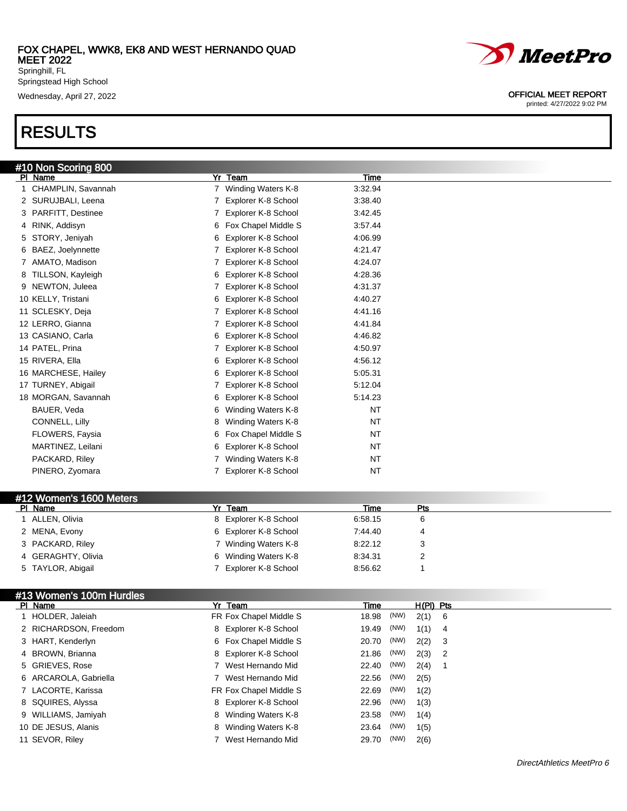Springstead High School

# RESULTS

| <u>#10 Non Scor</u> ing 800 |                                    |           |  |
|-----------------------------|------------------------------------|-----------|--|
| PI Name                     | Yr<br>Team                         | Time      |  |
| CHAMPLIN, Savannah          | 7 Winding Waters K-8               | 3:32.94   |  |
| 2 SURUJBALI, Leena          | 7 Explorer K-8 School              | 3:38.40   |  |
| 3 PARFITT, Destinee         | 7 Explorer K-8 School              | 3:42.45   |  |
| 4 RINK, Addisyn             | 6 Fox Chapel Middle S              | 3:57.44   |  |
| 5 STORY, Jeniyah            | Explorer K-8 School<br>6           | 4:06.99   |  |
| 6 BAEZ, Joelynnette         | 7 Explorer K-8 School              | 4:21.47   |  |
| 7 AMATO, Madison            | 7 Explorer K-8 School              | 4:24.07   |  |
| 8 TILLSON, Kayleigh         | 6 Explorer K-8 School              | 4:28.36   |  |
| 9 NEWTON, Juleea            | 7 Explorer K-8 School              | 4:31.37   |  |
| 10 KELLY, Tristani          | Explorer K-8 School<br>6           | 4:40.27   |  |
| 11 SCLESKY, Deja            | 7 Explorer K-8 School              | 4:41.16   |  |
| 12 LERRO, Gianna            | 7 Explorer K-8 School              | 4:41.84   |  |
| 13 CASIANO, Carla           | 6 Explorer K-8 School              | 4:46.82   |  |
| 14 PATEL, Prina             | Explorer K-8 School<br>$7^{\circ}$ | 4:50.97   |  |
| 15 RIVERA, Ella             | 6 Explorer K-8 School              | 4:56.12   |  |
| 16 MARCHESE, Hailey         | Explorer K-8 School<br>6           | 5:05.31   |  |
| 17 TURNEY, Abigail          | Explorer K-8 School                | 5:12.04   |  |
| 18 MORGAN, Savannah         | Explorer K-8 School<br>6           | 5:14.23   |  |
| BAUER, Veda                 | Winding Waters K-8<br>6            | NT        |  |
| CONNELL, Lilly              | Winding Waters K-8<br>8            | <b>NT</b> |  |
| FLOWERS, Faysia             | Fox Chapel Middle S<br>6           | NT        |  |
| MARTINEZ, Leilani           | Explorer K-8 School<br>6           | <b>NT</b> |  |
| PACKARD, Riley              | Winding Waters K-8                 | <b>NT</b> |  |
| PINERO, Zyomara             | 7 Explorer K-8 School              | <b>NT</b> |  |

#### #12 Women's 1600 Meters

| PI Name            | Yr Team               | Time    | Pts |  |
|--------------------|-----------------------|---------|-----|--|
| ALLEN, Olivia      | 8 Explorer K-8 School | 6:58.15 |     |  |
| 2 MENA, Evony      | 6 Explorer K-8 School | 7:44.40 |     |  |
| 3 PACKARD, Riley   | 7 Winding Waters K-8  | 8:22.12 |     |  |
| 4 GERAGHTY, Olivia | 6 Winding Waters K-8  | 8.34.31 |     |  |
| 5 TAYLOR, Abigail  | Explorer K-8 School   | 8:56.62 |     |  |

### #13 Women's 100m Hurdles

| PI Name               | Yr Team                 | Time  |      | $H(PI)$ Pts |  |
|-----------------------|-------------------------|-------|------|-------------|--|
| 1 HOLDER, Jaleiah     | FR Fox Chapel Middle S  | 18.98 | (NW) | $2(1)$ 6    |  |
| 2 RICHARDSON, Freedom | 8 Explorer K-8 School   | 19.49 | (NW) | $1(1)$ 4    |  |
| 3 HART, Kenderlyn     | 6 Fox Chapel Middle S   | 20.70 | (NW) | $2(2)$ 3    |  |
| 4 BROWN, Brianna      | 8 Explorer K-8 School   | 21.86 | (NW) | $2(3)$ 2    |  |
| 5 GRIEVES, Rose       | 7 West Hernando Mid     | 22.40 | (NW) | 2(4)        |  |
| 6 ARCAROLA, Gabriella | 7 West Hernando Mid     | 22.56 | (NW) | 2(5)        |  |
| 7 LACORTE, Karissa    | FR Fox Chapel Middle S  | 22.69 | (NW) | 1(2)        |  |
| 8 SQUIRES, Alyssa     | 8 Explorer K-8 School   | 22.96 | (NW) | 1(3)        |  |
| 9 WILLIAMS, Jamiyah   | 8 Winding Waters K-8    | 23.58 | (NW) | 1(4)        |  |
| 10 DE JESUS, Alanis   | Winding Waters K-8<br>8 | 23.64 | (NW) | 1(5)        |  |
| 11 SEVOR, Riley       | 7 West Hernando Mid     | 29.70 | (NW) | 2(6)        |  |



### Wednesday, April 27, 2022 OFFICIAL MEET REPORT

printed: 4/27/2022 9:02 PM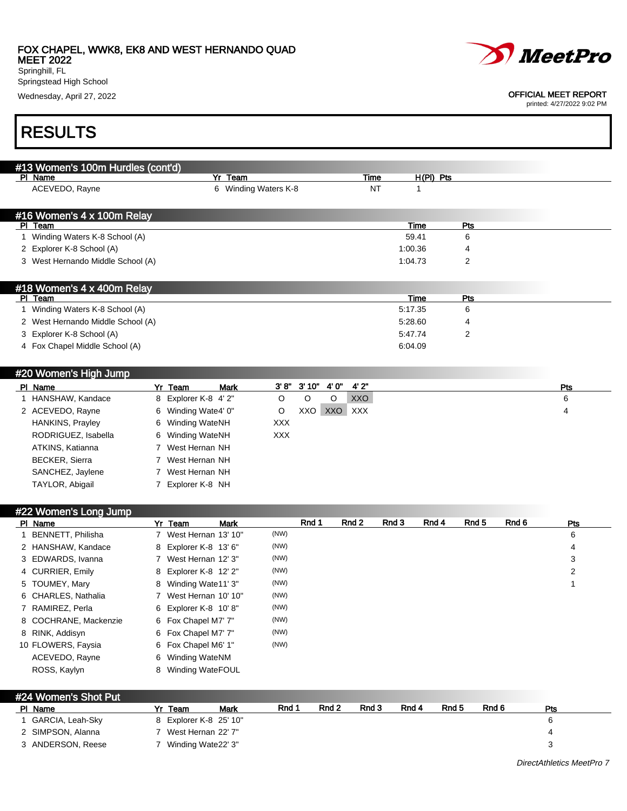#### FOX CHAPEL, WWK8, EK8 AND WEST HERNANDO QUAD MEET 2022

Springhill, FL Springstead High School

Wednesday, April 27, 2022 OFFICIAL MEET REPORT

# RESULTS

| #13 Women's 100m Hurdles (cont'd) |   |                       |                         |            |       |       |            |             |     |     |
|-----------------------------------|---|-----------------------|-------------------------|------------|-------|-------|------------|-------------|-----|-----|
| PI Name                           |   |                       | Team<br>Yr              |            |       |       | Time       | $H(PI)$ Pts |     |     |
| ACEVEDO, Rayne                    |   |                       | Winding Waters K-8<br>6 |            |       |       | <b>NT</b>  | 1           |     |     |
|                                   |   |                       |                         |            |       |       |            |             |     |     |
| #16 Women's 4 x 100m Relay        |   |                       |                         |            |       |       |            |             |     |     |
| PI Team                           |   |                       |                         |            |       |       |            | Time        | Pts |     |
| Winding Waters K-8 School (A)     |   |                       |                         |            |       |       |            | 59.41       | 6   |     |
| 2 Explorer K-8 School (A)         |   |                       |                         |            |       |       |            | 1:00.36     | 4   |     |
| 3 West Hernando Middle School (A) |   |                       |                         |            |       |       |            | 1:04.73     | 2   |     |
|                                   |   |                       |                         |            |       |       |            |             |     |     |
| #18 Women's 4 x 400m Relay        |   |                       |                         |            |       |       |            |             |     |     |
| PI Team                           |   |                       |                         |            |       |       |            | <b>Time</b> | Pts |     |
| Winding Waters K-8 School (A)     |   |                       |                         |            |       |       |            | 5:17.35     | 6   |     |
| 2 West Hernando Middle School (A) |   |                       |                         |            |       |       |            | 5:28.60     | 4   |     |
| 3 Explorer K-8 School (A)         |   |                       |                         |            |       |       |            | 5:47.74     | 2   |     |
| 4 Fox Chapel Middle School (A)    |   |                       |                         |            |       |       |            | 6:04.09     |     |     |
|                                   |   |                       |                         |            |       |       |            |             |     |     |
|                                   |   |                       |                         |            |       |       |            |             |     |     |
| #20 Women's High Jump             |   |                       |                         |            |       |       |            |             |     |     |
| PI Name                           |   | Yr Team               | <b>Mark</b>             | 3' 8''     | 3'10" | 4' 0" | 4'2"       |             |     | Pts |
| 1 HANSHAW, Kandace                |   | 8 Explorer K-8 4' 2"  |                         | O          | O     | O     | <b>XXO</b> |             |     | 6   |
| 2 ACEVEDO, Rayne                  | 6 | Winding Wate4' 0"     |                         | O          | XXO   | XXO   | XXX        |             |     | 4   |
| HANKINS, Prayley                  | 6 | Winding WateNH        |                         | <b>XXX</b> |       |       |            |             |     |     |
| RODRIGUEZ, Isabella               |   | <b>Winding WateNH</b> |                         | <b>XXX</b> |       |       |            |             |     |     |

ATKINS, Katianna 7 West Hernan NH BECKER, Sierra 7 West Hernan NH SANCHEZ, Jaylene 7 West Hernan NH TAYLOR, Abigail 7 Explorer K-8 NH

#### #22 Women's Long Jump Pl Name 3 Yr Team 3 Mark 3 Rnd 1 Rnd 2 Rnd 3 Rnd 4 Rnd 5 Rnd 6 Pts 1 BENNETT, Philisha 7 West Hernan 13' 10" (NW) 6 2 HANSHAW, Kandace a 8 Explorer K-8 13' 6" (NW) 4 AMSHAW, Kandace 4 AMSHAW, Andrew Base 3 AMSHAW, A 3 EDWARDS, Ivanna 7 West Hernan 12' 3" (NW) 3 4 CURRIER, Emily 8 Explorer K-8 12' 2" (NW) 2 A CURRIER, Emily 2 5 TOUMEY, Mary 8 Winding Wate11' 3" (NW) 1 (NW) 1 (NW) 1 (NW) 6 CHARLES, Nathalia 7 West Hernan 10' 10" (NW) 7 RAMIREZ, Perla 6 Explorer K-8 10' 8" (NW) 8 COCHRANE, Mackenzie 6 Fox Chapel M7' 7" (NW) 8 RINK, Addisyn 6 Fox Chapel M7' 7" (NW) 10 FLOWERS, Faysia 6 Fox Chapel M6' 1" (NW) ACEVEDO, Rayne 6 Winding WateNM ROSS, Kaylyn 8 Winding WateFOUL

| #24 Women's Shot Put |                    |    |                        |      |       |       |       |       |       |       |     |
|----------------------|--------------------|----|------------------------|------|-------|-------|-------|-------|-------|-------|-----|
|                      | PI Name            | Yr | Team                   | Mark | Rnd 1 | Rnd 2 | Rnd 3 | Rnd 4 | Rnd 5 | Rnd 6 | Pts |
|                      | 1 GARCIA, Leah-Sky |    | 8 Explorer K-8 25' 10" |      |       |       |       |       |       |       | ĥ.  |
|                      | 2 SIMPSON, Alanna  |    | West Hernan 22' 7"     |      |       |       |       |       |       |       | 4   |
|                      | 3 ANDERSON, Reese  |    | Winding Wate22' 3"     |      |       |       |       |       |       |       |     |



printed: 4/27/2022 9:02 PM